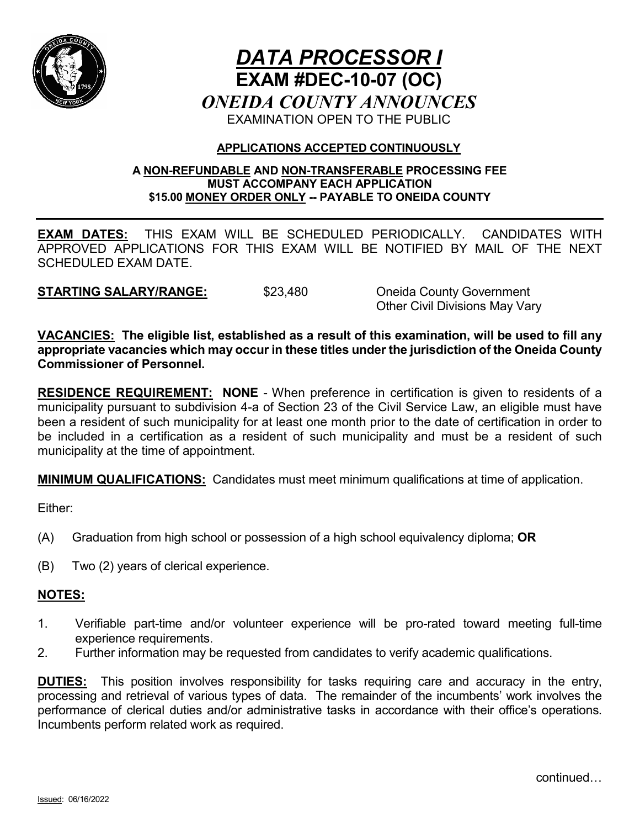

# *DATA PROCESSOR I* **EXAM #DEC-10-07 (OC)** *ONEIDA COUNTY ANNOUNCES* EXAMINATION OPEN TO THE PUBLIC

## **APPLICATIONS ACCEPTED CONTINUOUSLY**

## **A NON-REFUNDABLE AND NON-TRANSFERABLE PROCESSING FEE MUST ACCOMPANY EACH APPLICATION \$15.00 MONEY ORDER ONLY -- PAYABLE TO ONEIDA COUNTY**

**EXAM DATES:** THIS EXAM WILL BE SCHEDULED PERIODICALLY. CANDIDATES WITH APPROVED APPLICATIONS FOR THIS EXAM WILL BE NOTIFIED BY MAIL OF THE NEXT SCHEDULED EXAM DATE.

**STARTING SALARY/RANGE:** \$23,480 Oneida County Government

Other Civil Divisions May Vary

**VACANCIES: The eligible list, established as a result of this examination, will be used to fill any appropriate vacancies which may occur in these titles under the jurisdiction of the Oneida County Commissioner of Personnel.**

**RESIDENCE REQUIREMENT: NONE** - When preference in certification is given to residents of a municipality pursuant to subdivision 4-a of Section 23 of the Civil Service Law, an eligible must have been a resident of such municipality for at least one month prior to the date of certification in order to be included in a certification as a resident of such municipality and must be a resident of such municipality at the time of appointment.

**MINIMUM QUALIFICATIONS:** Candidates must meet minimum qualifications at time of application.

Either:

- (A) Graduation from high school or possession of a high school equivalency diploma; **OR**
- (B) Two (2) years of clerical experience.

# **NOTES:**

- 1. Verifiable part-time and/or volunteer experience will be pro-rated toward meeting full-time experience requirements.
- 2. Further information may be requested from candidates to verify academic qualifications.

**DUTIES:** This position involves responsibility for tasks requiring care and accuracy in the entry, processing and retrieval of various types of data. The remainder of the incumbents' work involves the performance of clerical duties and/or administrative tasks in accordance with their office's operations. Incumbents perform related work as required.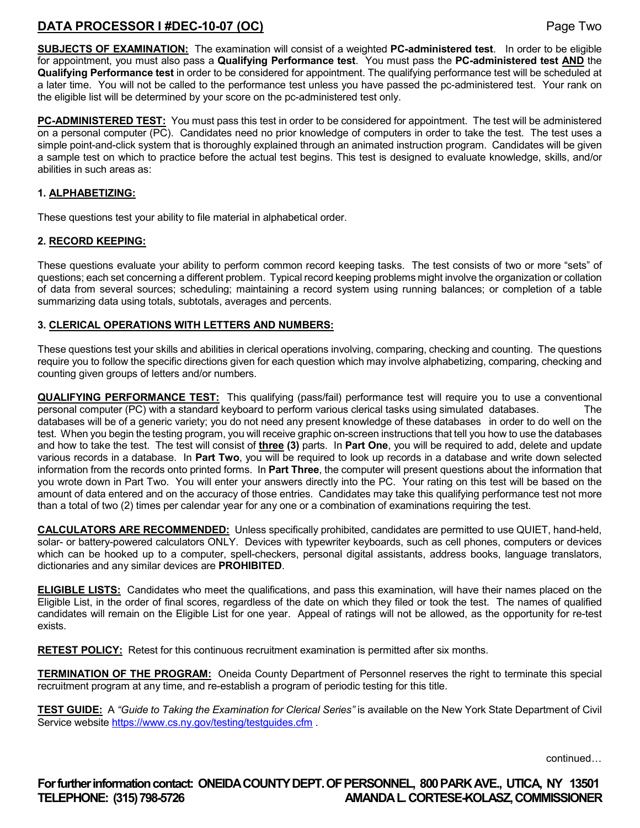# **DATA PROCESSOR I #DEC-10-07 (OC)** Page Two

**SUBJECTS OF EXAMINATION:** The examination will consist of a weighted **PC-administered test**. In order to be eligible for appointment, you must also pass a **Qualifying Performance test**. You must pass the **PC-administered test AND** the **Qualifying Performance test** in order to be considered for appointment. The qualifying performance test will be scheduled at a later time. You will not be called to the performance test unless you have passed the pc-administered test. Your rank on the eligible list will be determined by your score on the pc-administered test only.

**PC-ADMINISTERED TEST:** You must pass this test in order to be considered for appointment. The test will be administered on a personal computer (PC). Candidates need no prior knowledge of computers in order to take the test. The test uses a simple point-and-click system that is thoroughly explained through an animated instruction program. Candidates will be given a sample test on which to practice before the actual test begins. This test is designed to evaluate knowledge, skills, and/or abilities in such areas as:

#### **1. ALPHABETIZING:**

These questions test your ability to file material in alphabetical order.

#### **2. RECORD KEEPING:**

These questions evaluate your ability to perform common record keeping tasks. The test consists of two or more "sets" of questions; each set concerning a different problem. Typical record keeping problems might involve the organization or collation of data from several sources; scheduling; maintaining a record system using running balances; or completion of a table summarizing data using totals, subtotals, averages and percents.

#### **3. CLERICAL OPERATIONS WITH LETTERS AND NUMBERS:**

These questions test your skills and abilities in clerical operations involving, comparing, checking and counting. The questions require you to follow the specific directions given for each question which may involve alphabetizing, comparing, checking and counting given groups of letters and/or numbers.

**QUALIFYING PERFORMANCE TEST:** This qualifying (pass/fail) performance test will require you to use a conventional personal computer (PC) with a standard keyboard to perform various clerical tasks using simulated databases. The databases will be of a generic variety; you do not need any present knowledge of these databases in order to do well on the test. When you begin the testing program, you will receive graphic on-screen instructions that tell you how to use the databases and how to take the test. The test will consist of **three (3)** parts. In **Part One**, you will be required to add, delete and update various records in a database. In **Part Two**, you will be required to look up records in a database and write down selected information from the records onto printed forms. In **Part Three**, the computer will present questions about the information that you wrote down in Part Two. You will enter your answers directly into the PC. Your rating on this test will be based on the amount of data entered and on the accuracy of those entries. Candidates may take this qualifying performance test not more than a total of two (2) times per calendar year for any one or a combination of examinations requiring the test.

**CALCULATORS ARE RECOMMENDED:** Unless specifically prohibited, candidates are permitted to use QUIET, hand-held, solar- or battery-powered calculators ONLY. Devices with typewriter keyboards, such as cell phones, computers or devices which can be hooked up to a computer, spell-checkers, personal digital assistants, address books, language translators, dictionaries and any similar devices are **PROHIBITED**.

**ELIGIBLE LISTS:** Candidates who meet the qualifications, and pass this examination, will have their names placed on the Eligible List, in the order of final scores, regardless of the date on which they filed or took the test. The names of qualified candidates will remain on the Eligible List for one year. Appeal of ratings will not be allowed, as the opportunity for re-test exists.

**RETEST POLICY:** Retest for this continuous recruitment examination is permitted after six months.

**TERMINATION OF THE PROGRAM:** Oneida County Department of Personnel reserves the right to terminate this special recruitment program at any time, and re-establish a program of periodic testing for this title.

**TEST GUIDE:** A *"Guide to Taking the Examination for Clerical Series"* is available on the New York State Department of Civil Service website<https://www.cs.ny.gov/testing/testguides.cfm>.

continued…

**For further information contact: ONEIDA COUNTY DEPT. OF PERSONNEL, 800 PARK AVE., UTICA, NY 13501 TELEPHONE: (315) 798-5726 AMANDA L. CORTESE-KOLASZ, COMMISSIONER**